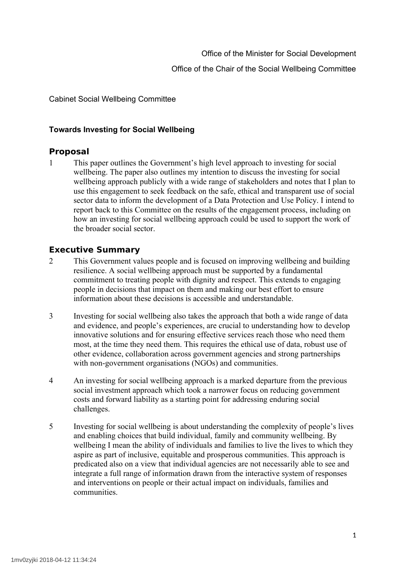Cabinet Social Wellbeing Committee

### **Towards Investing for Social Wellbeing**

## **Proposal**

1 This paper outlines the Government's high level approach to investing for social wellbeing. The paper also outlines my intention to discuss the investing for social wellbeing approach publicly with a wide range of stakeholders and notes that I plan to use this engagement to seek feedback on the safe, ethical and transparent use of social sector data to inform the development of a Data Protection and Use Policy. I intend to report back to this Committee on the results of the engagement process, including on how an investing for social wellbeing approach could be used to support the work of the broader social sector.

## **Executive Summary**

- 2 This Government values people and is focused on improving wellbeing and building resilience. A social wellbeing approach must be supported by a fundamental commitment to treating people with dignity and respect. This extends to engaging people in decisions that impact on them and making our best effort to ensure information about these decisions is accessible and understandable.
- 3 Investing for social wellbeing also takes the approach that both a wide range of data and evidence, and people's experiences, are crucial to understanding how to develop innovative solutions and for ensuring effective services reach those who need them most, at the time they need them. This requires the ethical use of data, robust use of other evidence, collaboration across government agencies and strong partnerships with non-government organisations (NGOs) and communities.
- 4 An investing for social wellbeing approach is a marked departure from the previous social investment approach which took a narrower focus on reducing government costs and forward liability as a starting point for addressing enduring social challenges.
- 5 Investing for social wellbeing is about understanding the complexity of people's lives and enabling choices that build individual, family and community wellbeing. By wellbeing I mean the ability of individuals and families to live the lives to which they aspire as part of inclusive, equitable and prosperous communities. This approach is predicated also on a view that individual agencies are not necessarily able to see and integrate a full range of information drawn from the interactive system of responses and interventions on people or their actual impact on individuals, families and communities.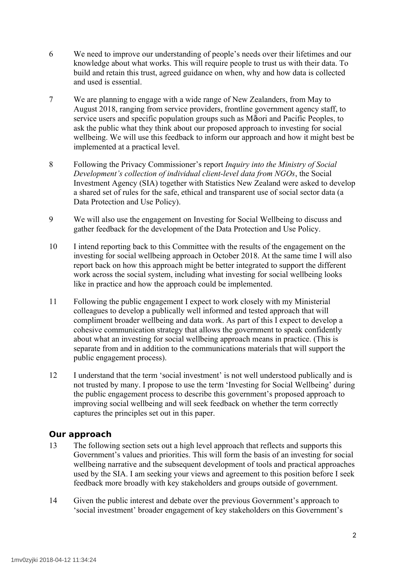- 6 We need to improve our understanding of people's needs over their lifetimes and our knowledge about what works. This will require people to trust us with their data. To build and retain this trust, agreed guidance on when, why and how data is collected and used is essential.
- 7 We are planning to engage with a wide range of New Zealanders, from May to August 2018, ranging from service providers, frontline government agency staff, to service users and specific population groups such as Māori and Pacific Peoples, to ask the public what they think about our proposed approach to investing for social wellbeing. We will use this feedback to inform our approach and how it might best be implemented at a practical level.
- 8 Following the Privacy Commissioner's report *Inquiry into the Ministry of Social Development's collection of individual client-level data from NGOs*, the Social Investment Agency (SIA) together with Statistics New Zealand were asked to develop a shared set of rules for the safe, ethical and transparent use of social sector data (a Data Protection and Use Policy).
- 9 We will also use the engagement on Investing for Social Wellbeing to discuss and gather feedback for the development of the Data Protection and Use Policy.
- 10 I intend reporting back to this Committee with the results of the engagement on the investing for social wellbeing approach in October 2018. At the same time I will also report back on how this approach might be better integrated to support the different work across the social system, including what investing for social wellbeing looks like in practice and how the approach could be implemented.
- 11 Following the public engagement I expect to work closely with my Ministerial colleagues to develop a publically well informed and tested approach that will compliment broader wellbeing and data work. As part of this I expect to develop a cohesive communication strategy that allows the government to speak confidently about what an investing for social wellbeing approach means in practice. (This is separate from and in addition to the communications materials that will support the public engagement process).
- 12 I understand that the term 'social investment' is not well understood publically and is not trusted by many. I propose to use the term 'Investing for Social Wellbeing' during the public engagement process to describe this government's proposed approach to improving social wellbeing and will seek feedback on whether the term correctly captures the principles set out in this paper.

# **Our approach**

- 13 The following section sets out a high level approach that reflects and supports this Government's values and priorities. This will form the basis of an investing for social wellbeing narrative and the subsequent development of tools and practical approaches used by the SIA. I am seeking your views and agreement to this position before I seek feedback more broadly with key stakeholders and groups outside of government.
- 14 Given the public interest and debate over the previous Government's approach to 'social investment' broader engagement of key stakeholders on this Government's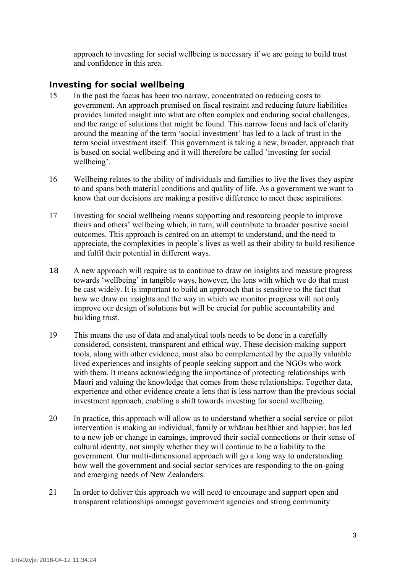approach to investing for social wellbeing is necessary if we are going to build trust and confidence in this area.

# **Investing for social wellbeing**

- 15 In the past the focus has been too narrow, concentrated on reducing costs to government. An approach premised on fiscal restraint and reducing future liabilities provides limited insight into what are often complex and enduring social challenges, and the range of solutions that might be found. This narrow focus and lack of clarity around the meaning of the term 'social investment' has led to a lack of trust in the term social investment itself. This government is taking a new, broader, approach that is based on social wellbeing and it will therefore be called 'investing for social wellbeing'.
- 16 Wellbeing relates to the ability of individuals and families to live the lives they aspire to and spans both material conditions and quality of life. As a government we want to know that our decisions are making a positive difference to meet these aspirations.
- 17 Investing for social wellbeing means supporting and resourcing people to improve theirs and others' wellbeing which, in turn, will contribute to broader positive social outcomes. This approach is centred on an attempt to understand, and the need to appreciate, the complexities in people's lives as well as their ability to build resilience and fulfil their potential in different ways.
- 18 A new approach will require us to continue to draw on insights and measure progress towards 'wellbeing' in tangible ways, however, the lens with which we do that must be cast widely. It is important to build an approach that is sensitive to the fact that how we draw on insights and the way in which we monitor progress will not only improve our design of solutions but will be crucial for public accountability and building trust.
- 19 This means the use of data and analytical tools needs to be done in a carefully considered, consistent, transparent and ethical way. These decision-making support tools, along with other evidence, must also be complemented by the equally valuable lived experiences and insights of people seeking support and the NGOs who work with them. It means acknowledging the importance of protecting relationships with Māori and valuing the knowledge that comes from these relationships. Together data, experience and other evidence create a lens that is less narrow than the previous social investment approach, enabling a shift towards investing for social wellbeing.
- 20 In practice, this approach will allow us to understand whether a social service or pilot intervention is making an individual, family or whānau healthier and happier, has led to a new job or change in earnings, improved their social connections or their sense of cultural identity, not simply whether they will continue to be a liability to the government. Our multi-dimensional approach will go a long way to understanding how well the government and social sector services are responding to the on-going and emerging needs of New Zealanders.
- 21 In order to deliver this approach we will need to encourage and support open and transparent relationships amongst government agencies and strong community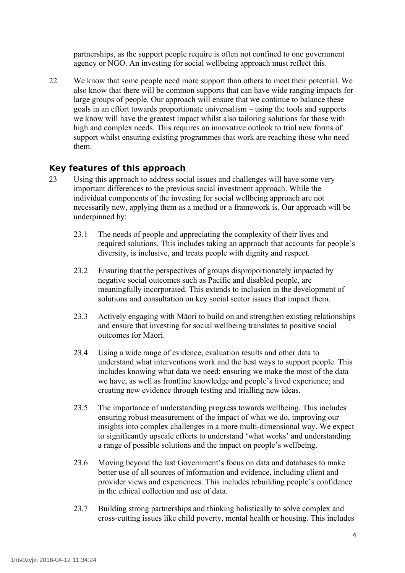partnerships, as the support people require is often not confined to one government agency or NGO. An investing for social wellbeing approach must reflect this.

22 We know that some people need more support than others to meet their potential. We also know that there will be common supports that can have wide ranging impacts for large groups of people. Our approach will ensure that we continue to balance these goals in an effort towards proportionate universalism – using the tools and supports we know will have the greatest impact whilst also tailoring solutions for those with high and complex needs. This requires an innovative outlook to trial new forms of support whilst ensuring existing programmes that work are reaching those who need them.

### **Key features of this approach**

- 23 Using this approach to address social issues and challenges will have some very important differences to the previous social investment approach. While the individual components of the investing for social wellbeing approach are not necessarily new, applying them as a method or a framework is. Our approach will be underpinned by:
	- 23.1 The needs of people and appreciating the complexity of their lives and required solutions. This includes taking an approach that accounts for people's diversity, is inclusive, and treats people with dignity and respect.
	- 23.2 Ensuring that the perspectives of groups disproportionately impacted by negative social outcomes such as Pacific and disabled people, are meaningfully incorporated. This extends to inclusion in the development of solutions and consultation on key social sector issues that impact them.
	- 23.3 Actively engaging with Māori to build on and strengthen existing relationships and ensure that investing for social wellbeing translates to positive social outcomes for Māori.
	- 23.4 Using a wide range of evidence, evaluation results and other data to understand what interventions work and the best ways to support people. This includes knowing what data we need; ensuring we make the most of the data we have, as well as frontline knowledge and people's lived experience; and creating new evidence through testing and trialling new ideas.
	- 23.5 The importance of understanding progress towards wellbeing. This includes ensuring robust measurement of the impact of what we do, improving our insights into complex challenges in a more multi-dimensional way. We expect to significantly upscale efforts to understand 'what works' and understanding a range of possible solutions and the impact on people's wellbeing.
	- 23.6 Moving beyond the last Government's focus on data and databases to make better use of all sources of information and evidence, including client and provider views and experiences. This includes rebuilding people's confidence in the ethical collection and use of data.
	- 23.7 Building strong partnerships and thinking holistically to solve complex and cross-cutting issues like child poverty, mental health or housing. This includes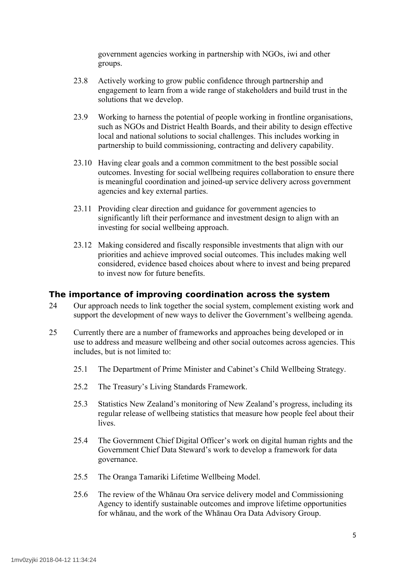government agencies working in partnership with NGOs, iwi and other groups.

- 23.8 Actively working to grow public confidence through partnership and engagement to learn from a wide range of stakeholders and build trust in the solutions that we develop.
- 23.9 Working to harness the potential of people working in frontline organisations, such as NGOs and District Health Boards, and their ability to design effective local and national solutions to social challenges. This includes working in partnership to build commissioning, contracting and delivery capability.
- 23.10 Having clear goals and a common commitment to the best possible social outcomes. Investing for social wellbeing requires collaboration to ensure there is meaningful coordination and joined-up service delivery across government agencies and key external parties.
- 23.11 Providing clear direction and guidance for government agencies to significantly lift their performance and investment design to align with an investing for social wellbeing approach.
- 23.12 Making considered and fiscally responsible investments that align with our priorities and achieve improved social outcomes. This includes making well considered, evidence based choices about where to invest and being prepared to invest now for future benefits.

# **The importance of improving coordination across the system**

- 24 Our approach needs to link together the social system, complement existing work and support the development of new ways to deliver the Government's wellbeing agenda.
- 25 Currently there are a number of frameworks and approaches being developed or in use to address and measure wellbeing and other social outcomes across agencies. This includes, but is not limited to:
	- 25.1 The Department of Prime Minister and Cabinet's Child Wellbeing Strategy.
	- 25.2 The Treasury's Living Standards Framework.
	- 25.3 Statistics New Zealand's monitoring of New Zealand's progress, including its regular release of wellbeing statistics that measure how people feel about their lives.
	- 25.4 The Government Chief Digital Officer's work on digital human rights and the Government Chief Data Steward's work to develop a framework for data governance.
	- 25.5 The Oranga Tamariki Lifetime Wellbeing Model.
	- 25.6 The review of the Whānau Ora service delivery model and Commissioning Agency to identify sustainable outcomes and improve lifetime opportunities for whānau, and the work of the Whānau Ora Data Advisory Group.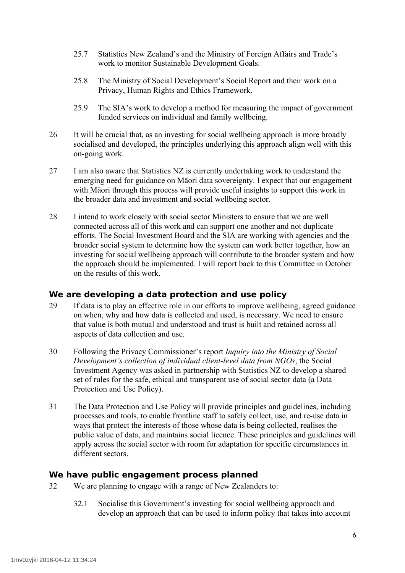- 25.7 Statistics New Zealand's and the Ministry of Foreign Affairs and Trade's work to monitor Sustainable Development Goals.
- 25.8 The Ministry of Social Development's Social Report and their work on a Privacy, Human Rights and Ethics Framework.
- 25.9 The SIA's work to develop a method for measuring the impact of government funded services on individual and family wellbeing.
- 26 It will be crucial that, as an investing for social wellbeing approach is more broadly socialised and developed, the principles underlying this approach align well with this on-going work.
- 27 I am also aware that Statistics NZ is currently undertaking work to understand the emerging need for guidance on Māori data sovereignty. I expect that our engagement with Māori through this process will provide useful insights to support this work in the broader data and investment and social wellbeing sector.
- 28 I intend to work closely with social sector Ministers to ensure that we are well connected across all of this work and can support one another and not duplicate efforts. The Social Investment Board and the SIA are working with agencies and the broader social system to determine how the system can work better together, how an investing for social wellbeing approach will contribute to the broader system and how the approach should be implemented. I will report back to this Committee in October on the results of this work.

# **We are developing a data protection and use policy**

- 29 If data is to play an effective role in our efforts to improve wellbeing, agreed guidance on when, why and how data is collected and used, is necessary. We need to ensure that value is both mutual and understood and trust is built and retained across all aspects of data collection and use.
- 30 Following the Privacy Commissioner's report *Inquiry into the Ministry of Social Development's collection of individual client-level data from NGOs*, the Social Investment Agency was asked in partnership with Statistics NZ to develop a shared set of rules for the safe, ethical and transparent use of social sector data (a Data Protection and Use Policy).
- 31 The Data Protection and Use Policy will provide principles and guidelines, including processes and tools, to enable frontline staff to safely collect, use, and re-use data in ways that protect the interests of those whose data is being collected, realises the public value of data, and maintains social licence. These principles and guidelines will apply across the social sector with room for adaptation for specific circumstances in different sectors.

# **We have public engagement process planned**

- 32 We are planning to engage with a range of New Zealanders to:
	- 32.1 Socialise this Government's investing for social wellbeing approach and develop an approach that can be used to inform policy that takes into account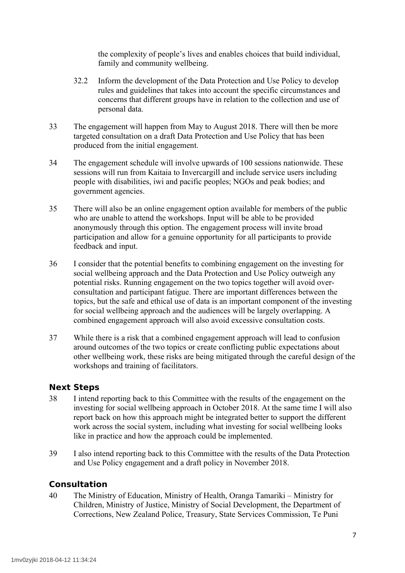the complexity of people's lives and enables choices that build individual, family and community wellbeing.

- 32.2 Inform the development of the Data Protection and Use Policy to develop rules and guidelines that takes into account the specific circumstances and concerns that different groups have in relation to the collection and use of personal data.
- 33 The engagement will happen from May to August 2018. There will then be more targeted consultation on a draft Data Protection and Use Policy that has been produced from the initial engagement.
- 34 The engagement schedule will involve upwards of 100 sessions nationwide. These sessions will run from Kaitaia to Invercargill and include service users including people with disabilities, iwi and pacific peoples; NGOs and peak bodies; and government agencies.
- 35 There will also be an online engagement option available for members of the public who are unable to attend the workshops. Input will be able to be provided anonymously through this option. The engagement process will invite broad participation and allow for a genuine opportunity for all participants to provide feedback and input.
- 36 I consider that the potential benefits to combining engagement on the investing for social wellbeing approach and the Data Protection and Use Policy outweigh any potential risks. Running engagement on the two topics together will avoid overconsultation and participant fatigue. There are important differences between the topics, but the safe and ethical use of data is an important component of the investing for social wellbeing approach and the audiences will be largely overlapping. A combined engagement approach will also avoid excessive consultation costs.
- 37 While there is a risk that a combined engagement approach will lead to confusion around outcomes of the two topics or create conflicting public expectations about other wellbeing work, these risks are being mitigated through the careful design of the workshops and training of facilitators.

# **Next Steps**

- 38 I intend reporting back to this Committee with the results of the engagement on the investing for social wellbeing approach in October 2018. At the same time I will also report back on how this approach might be integrated better to support the different work across the social system, including what investing for social wellbeing looks like in practice and how the approach could be implemented.
- 39 I also intend reporting back to this Committee with the results of the Data Protection and Use Policy engagement and a draft policy in November 2018.

### **Consultation**

40 The Ministry of Education, Ministry of Health, Oranga Tamariki – Ministry for Children, Ministry of Justice, Ministry of Social Development, the Department of Corrections, New Zealand Police, Treasury, State Services Commission, Te Puni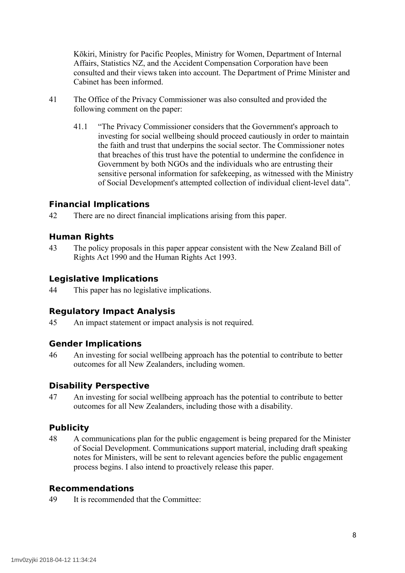Kōkiri, Ministry for Pacific Peoples, Ministry for Women, Department of Internal Affairs, Statistics NZ, and the Accident Compensation Corporation have been consulted and their views taken into account. The Department of Prime Minister and Cabinet has been informed.

- 41 The Office of the Privacy Commissioner was also consulted and provided the following comment on the paper:
	- 41.1 "The Privacy Commissioner considers that the Government's approach to investing for social wellbeing should proceed cautiously in order to maintain the faith and trust that underpins the social sector. The Commissioner notes that breaches of this trust have the potential to undermine the confidence in Government by both NGOs and the individuals who are entrusting their sensitive personal information for safekeeping, as witnessed with the Ministry of Social Development's attempted collection of individual client-level data".

# **Financial Implications**

42 There are no direct financial implications arising from this paper.

## **Human Rights**

43 The policy proposals in this paper appear consistent with the New Zealand Bill of Rights Act 1990 and the Human Rights Act 1993.

## **Legislative Implications**

44 This paper has no legislative implications.

### **Regulatory Impact Analysis**

45 An impact statement or impact analysis is not required.

### **Gender Implications**

46 An investing for social wellbeing approach has the potential to contribute to better outcomes for all New Zealanders, including women.

# **Disability Perspective**

47 An investing for social wellbeing approach has the potential to contribute to better outcomes for all New Zealanders, including those with a disability.

### **Publicity**

48 A communications plan for the public engagement is being prepared for the Minister of Social Development. Communications support material, including draft speaking notes for Ministers, will be sent to relevant agencies before the public engagement process begins. I also intend to proactively release this paper.

### **Recommendations**

49 It is recommended that the Committee: